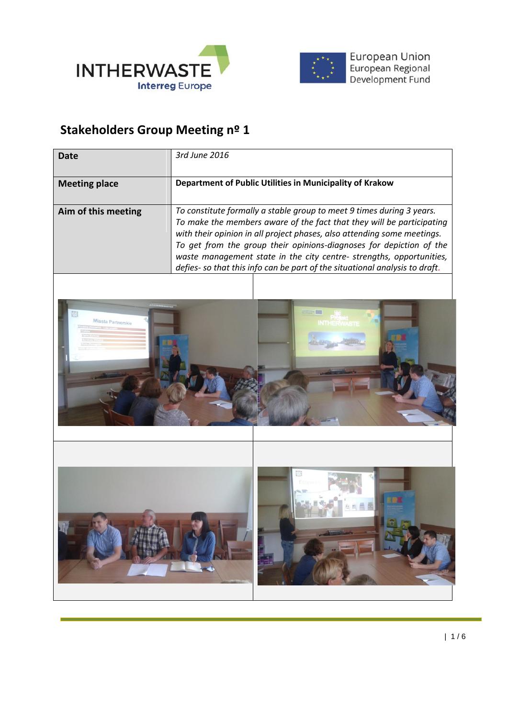



European Union<br>European Regional<br>Development Fund

## **Stakeholders Group Meeting nº 1**

| <b>Date</b>                    | 3rd June 2016                                                                                                                                                                                                                                                                                                                                                                                                                                           |
|--------------------------------|---------------------------------------------------------------------------------------------------------------------------------------------------------------------------------------------------------------------------------------------------------------------------------------------------------------------------------------------------------------------------------------------------------------------------------------------------------|
| <b>Meeting place</b>           | Department of Public Utilities in Municipality of Krakow                                                                                                                                                                                                                                                                                                                                                                                                |
| Aim of this meeting            | To constitute formally a stable group to meet 9 times during 3 years.<br>To make the members aware of the fact that they will be participating<br>with their opinion in all project phases, also attending some meetings.<br>To get from the group their opinions-diagnoses for depiction of the<br>waste management state in the city centre- strengths, opportunities,<br>defies- so that this info can be part of the situational analysis to draft. |
| 骤<br><b>Miasta Partnerskie</b> | <b>KO</b>                                                                                                                                                                                                                                                                                                                                                                                                                                               |
|                                | 鸜                                                                                                                                                                                                                                                                                                                                                                                                                                                       |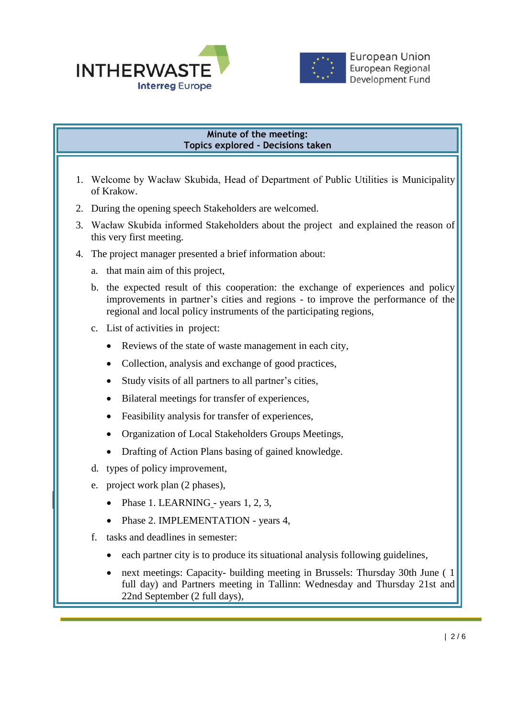



## **Minute of the meeting: Topics explored - Decisions taken**

- 1. Welcome by Wacław Skubida, Head of Department of Public Utilities is Municipality of Krakow.
- 2. During the opening speech Stakeholders are welcomed.
- 3. Wacław Skubida informed Stakeholders about the project and explained the reason of this very first meeting.
- 4. The project manager presented a brief information about:
	- a. that main aim of this project,
	- b. the expected result of this cooperation: the exchange of experiences and policy improvements in partner's cities and regions - to improve the performance of the regional and local policy instruments of the participating regions,
	- c. List of activities in project:
		- Reviews of the state of waste management in each city,
		- Collection, analysis and exchange of good practices,
		- Study visits of all partners to all partner's cities,
		- Bilateral meetings for transfer of experiences,
		- Feasibility analysis for transfer of experiences,
		- Organization of Local Stakeholders Groups Meetings,
		- Drafting of Action Plans basing of gained knowledge.
	- d. types of policy improvement,
	- e. project work plan (2 phases),
		- Phase 1. LEARNING years  $1, 2, 3$ ,
		- Phase 2. IMPLEMENTATION years 4,
	- f. tasks and deadlines in semester:
		- each partner city is to produce its situational analysis following guidelines,
		- next meetings: Capacity- building meeting in Brussels: Thursday 30th June ( 1 full day) and Partners meeting in Tallinn: Wednesday and Thursday 21st and 22nd September (2 full days),